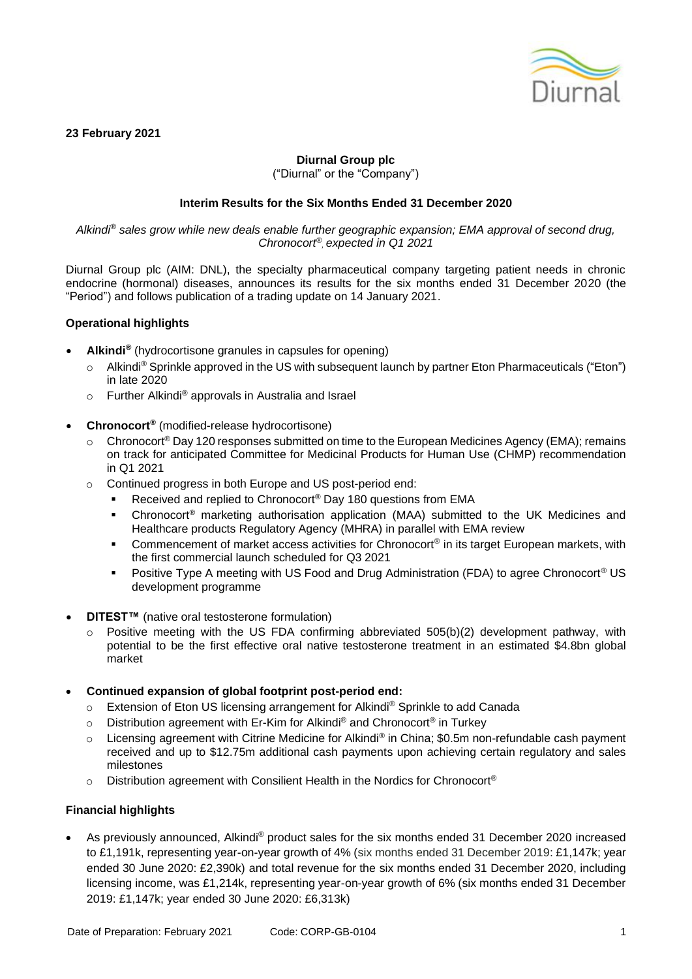

### **23 February 2021**

## **Diurnal Group plc**

("Diurnal" or the "Company")

## **Interim Results for the Six Months Ended 31 December 2020**

*Alkindi® sales grow while new deals enable further geographic expansion; EMA approval of second drug, Chronocort® , expected in Q1 2021*

Diurnal Group plc (AIM: DNL), the specialty pharmaceutical company targeting patient needs in chronic endocrine (hormonal) diseases, announces its results for the six months ended 31 December 2020 (the "Period") and follows publication of a trading update on 14 January 2021.

### **Operational highlights**

- **Alkindi®** (hydrocortisone granules in capsules for opening)
	- o Alkindi® Sprinkle approved in the US with subsequent launch by partner Eton Pharmaceuticals ("Eton") in late 2020
	- o Further Alkindi® approvals in Australia and Israel
- **Chronocort®** (modified-release hydrocortisone)
	- $\circ$  Chronocort<sup>®</sup> Day 120 responses submitted on time to the European Medicines Agency (EMA); remains on track for anticipated Committee for Medicinal Products for Human Use (CHMP) recommendation in Q1 2021
	- o Continued progress in both Europe and US post-period end:
		- Received and replied to Chronocort<sup>®</sup> Day 180 questions from EMA
		- Chronocort<sup>®</sup> marketing authorisation application (MAA) submitted to the UK Medicines and Healthcare products Regulatory Agency (MHRA) in parallel with EMA review
		- Commencement of market access activities for Chronocort<sup>®</sup> in its target European markets, with the first commercial launch scheduled for Q3 2021
		- Positive Type A meeting with US Food and Drug Administration (FDA) to agree Chronocort<sup>®</sup> US development programme
- **DITEST™** (native oral testosterone formulation)
	- Positive meeting with the US FDA confirming abbreviated 505(b)(2) development pathway, with potential to be the first effective oral native testosterone treatment in an estimated \$4.8bn global market
- **Continued expansion of global footprint post-period end:**
	- o Extension of Eton US licensing arrangement for Alkindi® Sprinkle to add Canada
	- o Distribution agreement with Er-Kim for Alkindi® and Chronocort<sup>®</sup> in Turkey
	- o Licensing agreement with Citrine Medicine for Alkindi® in China; \$0.5m non-refundable cash payment received and up to \$12.75m additional cash payments upon achieving certain regulatory and sales milestones
	- $\circ$  Distribution agreement with Consilient Health in the Nordics for Chronocort®

## **Financial highlights**

As previously announced, Alkindi® product sales for the six months ended 31 December 2020 increased to £1,191k, representing year-on-year growth of 4% (six months ended 31 December 2019: £1,147k; year ended 30 June 2020: £2,390k) and total revenue for the six months ended 31 December 2020, including licensing income, was £1,214k, representing year-on-year growth of 6% (six months ended 31 December 2019: £1,147k; year ended 30 June 2020: £6,313k)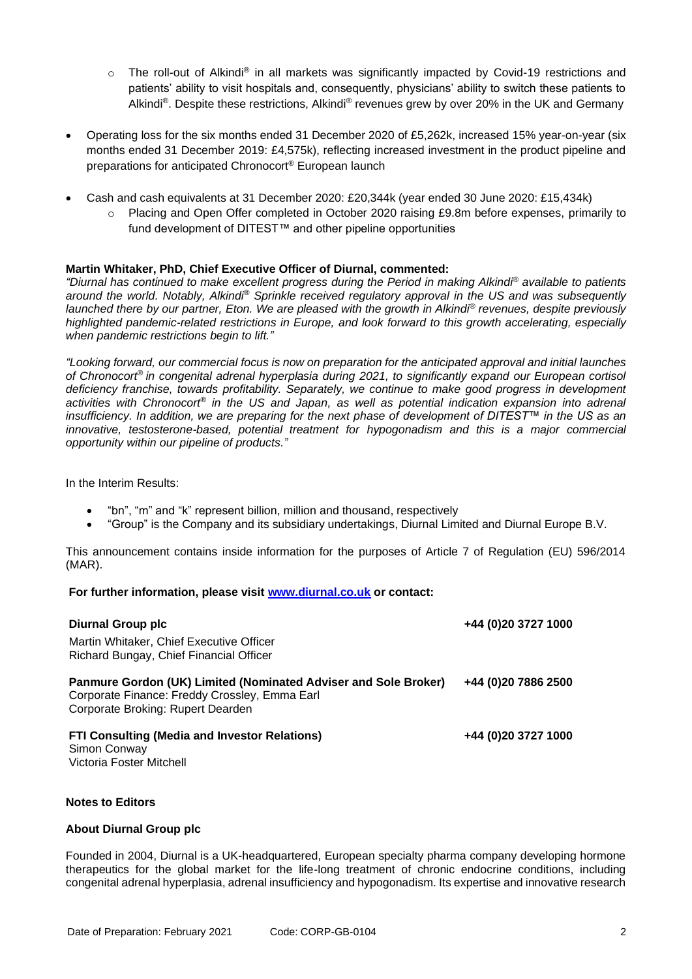- $\circ$  The roll-out of Alkindi® in all markets was significantly impacted by Covid-19 restrictions and patients' ability to visit hospitals and, consequently, physicians' ability to switch these patients to Alkindi®. Despite these restrictions, Alkindi® revenues grew by over 20% in the UK and Germany
- Operating loss for the six months ended 31 December 2020 of £5,262k, increased 15% year-on-year (six months ended 31 December 2019: £4,575k), reflecting increased investment in the product pipeline and preparations for anticipated Chronocort® European launch
- Cash and cash equivalents at 31 December 2020: £20,344k (year ended 30 June 2020: £15,434k)
	- $\circ$  Placing and Open Offer completed in October 2020 raising £9.8m before expenses, primarily to fund development of DITEST™ and other pipeline opportunities

### **Martin Whitaker, PhD, Chief Executive Officer of Diurnal, commented:**

*"Diurnal has continued to make excellent progress during the Period in making Alkindi® available to patients around the world. Notably, Alkindi® Sprinkle received regulatory approval in the US and was subsequently launched there by our partner, Eton. We are pleased with the growth in Alkindi® revenues, despite previously highlighted pandemic-related restrictions in Europe, and look forward to this growth accelerating, especially when pandemic restrictions begin to lift."*

*"Looking forward, our commercial focus is now on preparation for the anticipated approval and initial launches of Chronocort® in congenital adrenal hyperplasia during 2021, to significantly expand our European cortisol deficiency franchise, towards profitability. Separately, we continue to make good progress in development activities with Chronocort® in the US and Japan, as well as potential indication expansion into adrenal insufficiency. In addition, we are preparing for the next phase of development of DITEST™ in the US as an innovative, testosterone-based, potential treatment for hypogonadism and this is a major commercial opportunity within our pipeline of products."*

In the Interim Results:

- "bn", "m" and "k" represent billion, million and thousand, respectively
- "Group" is the Company and its subsidiary undertakings, Diurnal Limited and Diurnal Europe B.V.

This announcement contains inside information for the purposes of Article 7 of Regulation (EU) 596/2014 (MAR).

## **For further information, please visit [www.diurnal.co.uk](http://www.diurnal.co.uk/) or contact:**

| <b>Diurnal Group plc</b><br>Martin Whitaker, Chief Executive Officer<br>Richard Bungay, Chief Financial Officer                                       | +44 (0)20 3727 1000 |
|-------------------------------------------------------------------------------------------------------------------------------------------------------|---------------------|
| Panmure Gordon (UK) Limited (Nominated Adviser and Sole Broker)<br>Corporate Finance: Freddy Crossley, Emma Earl<br>Corporate Broking: Rupert Dearden | +44 (0)20 7886 2500 |
| <b>FTI Consulting (Media and Investor Relations)</b><br>Simon Conway<br>Victoria Foster Mitchell                                                      | +44 (0)20 3727 1000 |

## **Notes to Editors**

#### **About Diurnal Group plc**

Founded in 2004, Diurnal is a UK-headquartered, European specialty pharma company developing hormone therapeutics for the global market for the life-long treatment of chronic endocrine conditions, including congenital adrenal hyperplasia, adrenal insufficiency and hypogonadism. Its expertise and innovative research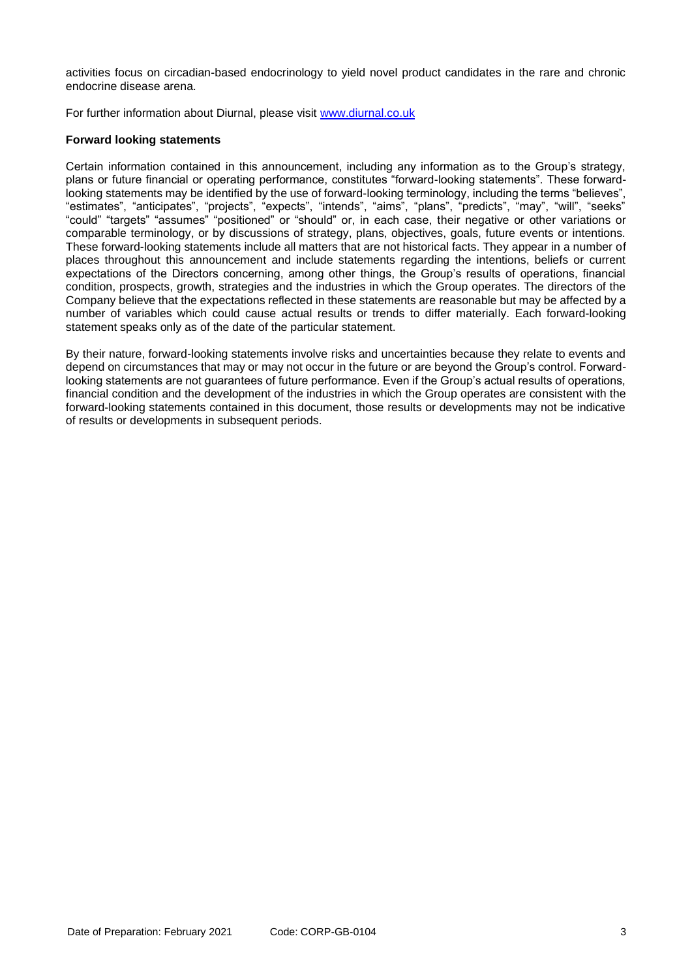activities focus on circadian-based endocrinology to yield novel product candidates in the rare and chronic endocrine disease arena.

For further information about Diurnal, please visit [www.diurnal.co.uk](http://www.diurnal.co.uk/)

## **Forward looking statements**

Certain information contained in this announcement, including any information as to the Group's strategy, plans or future financial or operating performance, constitutes "forward-looking statements". These forwardlooking statements may be identified by the use of forward-looking terminology, including the terms "believes", "estimates", "anticipates", "projects", "expects", "intends", "aims", "plans", "predicts", "may", "will", "seeks" "could" "targets" "assumes" "positioned" or "should" or, in each case, their negative or other variations or comparable terminology, or by discussions of strategy, plans, objectives, goals, future events or intentions. These forward-looking statements include all matters that are not historical facts. They appear in a number of places throughout this announcement and include statements regarding the intentions, beliefs or current expectations of the Directors concerning, among other things, the Group's results of operations, financial condition, prospects, growth, strategies and the industries in which the Group operates. The directors of the Company believe that the expectations reflected in these statements are reasonable but may be affected by a number of variables which could cause actual results or trends to differ materially. Each forward-looking statement speaks only as of the date of the particular statement.

By their nature, forward-looking statements involve risks and uncertainties because they relate to events and depend on circumstances that may or may not occur in the future or are beyond the Group's control. Forwardlooking statements are not guarantees of future performance. Even if the Group's actual results of operations, financial condition and the development of the industries in which the Group operates are consistent with the forward-looking statements contained in this document, those results or developments may not be indicative of results or developments in subsequent periods.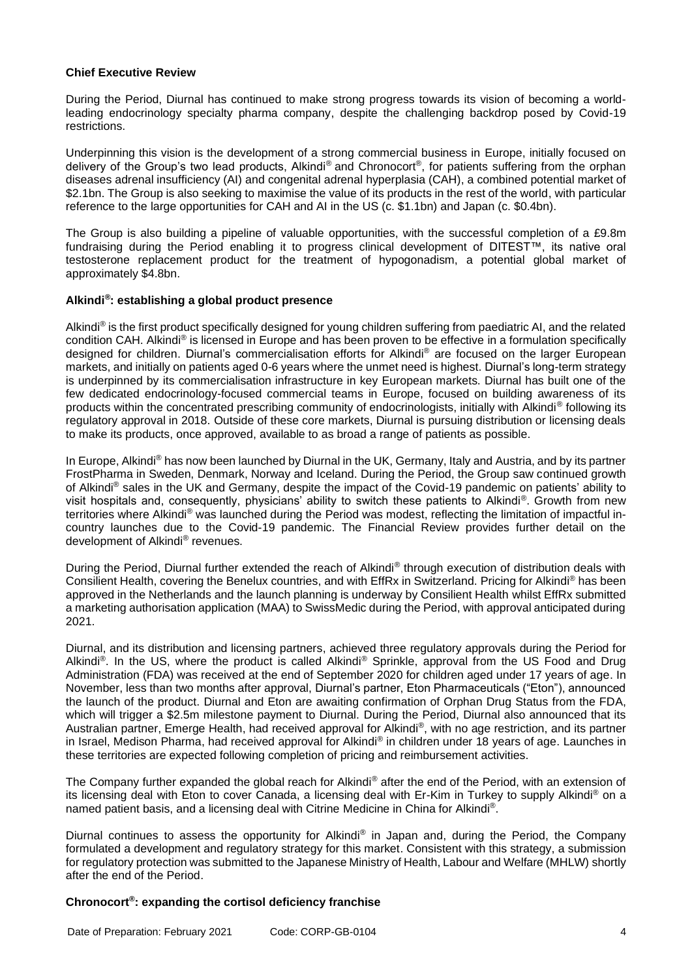#### **Chief Executive Review**

During the Period, Diurnal has continued to make strong progress towards its vision of becoming a worldleading endocrinology specialty pharma company, despite the challenging backdrop posed by Covid-19 restrictions.

Underpinning this vision is the development of a strong commercial business in Europe, initially focused on delivery of the Group's two lead products, Alkindi® and Chronocort®, for patients suffering from the orphan diseases adrenal insufficiency (AI) and congenital adrenal hyperplasia (CAH), a combined potential market of \$2.1bn. The Group is also seeking to maximise the value of its products in the rest of the world, with particular reference to the large opportunities for CAH and AI in the US (c. \$1.1bn) and Japan (c. \$0.4bn).

The Group is also building a pipeline of valuable opportunities, with the successful completion of a £9.8m fundraising during the Period enabling it to progress clinical development of DITEST™, its native oral testosterone replacement product for the treatment of hypogonadism, a potential global market of approximately \$4.8bn.

### **Alkindi® : establishing a global product presence**

Alkindi® is the first product specifically designed for young children suffering from paediatric AI, and the related condition CAH. Alkindi® is licensed in Europe and has been proven to be effective in a formulation specifically designed for children. Diurnal's commercialisation efforts for Alkindi® are focused on the larger European markets, and initially on patients aged 0-6 years where the unmet need is highest. Diurnal's long-term strategy is underpinned by its commercialisation infrastructure in key European markets. Diurnal has built one of the few dedicated endocrinology-focused commercial teams in Europe, focused on building awareness of its products within the concentrated prescribing community of endocrinologists, initially with Alkindi® following its regulatory approval in 2018. Outside of these core markets, Diurnal is pursuing distribution or licensing deals to make its products, once approved, available to as broad a range of patients as possible.

In Europe, Alkindi® has now been launched by Diurnal in the UK, Germany, Italy and Austria, and by its partner FrostPharma in Sweden, Denmark, Norway and Iceland. During the Period, the Group saw continued growth of Alkindi® sales in the UK and Germany, despite the impact of the Covid-19 pandemic on patients' ability to visit hospitals and, consequently, physicians' ability to switch these patients to Alkindi®. Growth from new territories where Alkindi® was launched during the Period was modest, reflecting the limitation of impactful incountry launches due to the Covid-19 pandemic. The Financial Review provides further detail on the development of Alkindi® revenues.

During the Period. Diurnal further extended the reach of Alkindi<sup>®</sup> through execution of distribution deals with Consilient Health, covering the Benelux countries, and with EffRx in Switzerland. Pricing for Alkindi® has been approved in the Netherlands and the launch planning is underway by Consilient Health whilst EffRx submitted a marketing authorisation application (MAA) to SwissMedic during the Period, with approval anticipated during 2021.

Diurnal, and its distribution and licensing partners, achieved three regulatory approvals during the Period for Alkindi<sup>®</sup>. In the US, where the product is called Alkindi<sup>®</sup> Sprinkle, approval from the US Food and Drug Administration (FDA) was received at the end of September 2020 for children aged under 17 years of age. In November, less than two months after approval, Diurnal's partner, Eton Pharmaceuticals ("Eton"), announced the launch of the product. Diurnal and Eton are awaiting confirmation of Orphan Drug Status from the FDA, which will trigger a \$2.5m milestone payment to Diurnal. During the Period, Diurnal also announced that its Australian partner, Emerge Health, had received approval for Alkindi®, with no age restriction, and its partner in Israel, Medison Pharma, had received approval for Alkindi® in children under 18 years of age. Launches in these territories are expected following completion of pricing and reimbursement activities.

The Company further expanded the global reach for Alkindi® after the end of the Period, with an extension of its licensing deal with Eton to cover Canada, a licensing deal with Er-Kim in Turkey to supply Alkindi® on a named patient basis, and a licensing deal with Citrine Medicine in China for Alkindi®.

Diurnal continues to assess the opportunity for Alkindi<sup>®</sup> in Japan and, during the Period, the Company formulated a development and regulatory strategy for this market. Consistent with this strategy, a submission for regulatory protection was submitted to the Japanese Ministry of Health, Labour and Welfare (MHLW) shortly after the end of the Period.

#### **Chronocort® : expanding the cortisol deficiency franchise**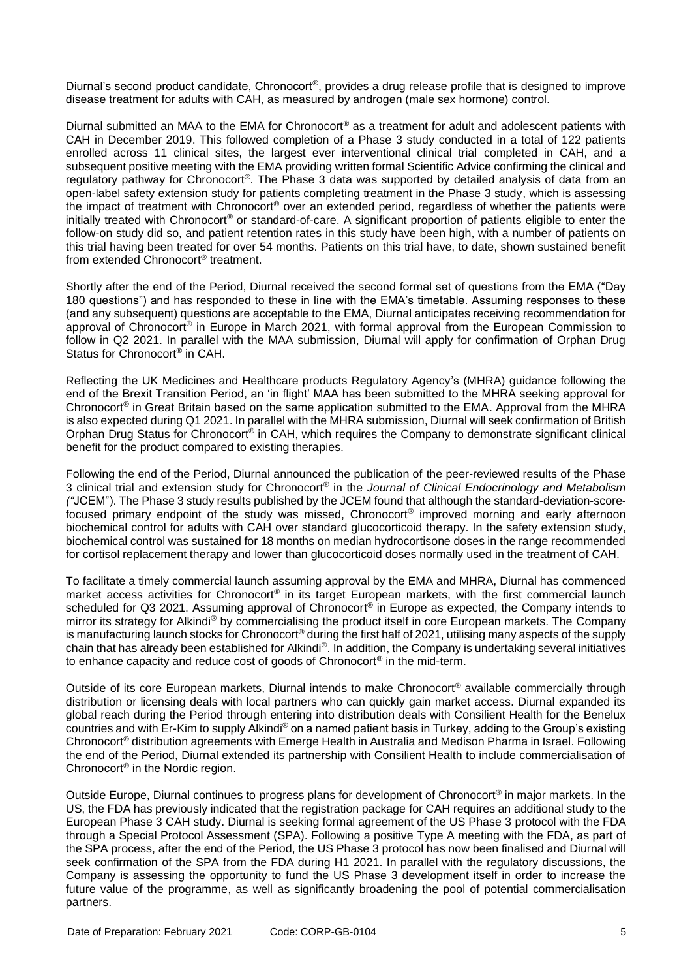Diurnal's second product candidate, Chronocort®, provides a drug release profile that is designed to improve disease treatment for adults with CAH, as measured by androgen (male sex hormone) control.

Diurnal submitted an MAA to the EMA for Chronocort® as a treatment for adult and adolescent patients with CAH in December 2019. This followed completion of a Phase 3 study conducted in a total of 122 patients enrolled across 11 clinical sites, the largest ever interventional clinical trial completed in CAH, and a subsequent positive meeting with the EMA providing written formal Scientific Advice confirming the clinical and regulatory pathway for Chronocort®. The Phase 3 data was supported by detailed analysis of data from an open-label safety extension study for patients completing treatment in the Phase 3 study, which is assessing the impact of treatment with Chronocort® over an extended period, regardless of whether the patients were initially treated with Chronocort® or standard-of-care. A significant proportion of patients eligible to enter the follow-on study did so, and patient retention rates in this study have been high, with a number of patients on this trial having been treated for over 54 months. Patients on this trial have, to date, shown sustained benefit from extended Chronocort® treatment.

Shortly after the end of the Period, Diurnal received the second formal set of questions from the EMA ("Day 180 questions") and has responded to these in line with the EMA's timetable. Assuming responses to these (and any subsequent) questions are acceptable to the EMA, Diurnal anticipates receiving recommendation for approval of Chronocort<sup>®</sup> in Europe in March 2021, with formal approval from the European Commission to follow in Q2 2021. In parallel with the MAA submission, Diurnal will apply for confirmation of Orphan Drug Status for Chronocort<sup>®</sup> in CAH.

Reflecting the UK Medicines and Healthcare products Regulatory Agency's (MHRA) guidance following the end of the Brexit Transition Period, an 'in flight' MAA has been submitted to the MHRA seeking approval for Chronocort® in Great Britain based on the same application submitted to the EMA. Approval from the MHRA is also expected during Q1 2021. In parallel with the MHRA submission, Diurnal will seek confirmation of British Orphan Drug Status for Chronocort® in CAH, which requires the Company to demonstrate significant clinical benefit for the product compared to existing therapies.

Following the end of the Period, Diurnal announced the publication of the peer-reviewed results of the Phase 3 clinical trial and extension study for Chronocort® in the *Journal of Clinical Endocrinology and Metabolism ("*JCEM"). The Phase 3 study results published by the JCEM found that although the standard-deviation-scorefocused primary endpoint of the study was missed, Chronocort® improved morning and early afternoon biochemical control for adults with CAH over standard glucocorticoid therapy. In the safety extension study, biochemical control was sustained for 18 months on median hydrocortisone doses in the range recommended for cortisol replacement therapy and lower than glucocorticoid doses normally used in the treatment of CAH.

To facilitate a timely commercial launch assuming approval by the EMA and MHRA, Diurnal has commenced market access activities for Chronocort® in its target European markets, with the first commercial launch scheduled for Q3 2021. Assuming approval of Chronocort<sup>®</sup> in Europe as expected, the Company intends to mirror its strategy for Alkindi® by commercialising the product itself in core European markets. The Company is manufacturing launch stocks for Chronocort® during the first half of 2021, utilising many aspects of the supply chain that has already been established for Alkindi®. In addition, the Company is undertaking several initiatives to enhance capacity and reduce cost of goods of Chronocort® in the mid-term.

Outside of its core European markets, Diurnal intends to make Chronocort® available commercially through distribution or licensing deals with local partners who can quickly gain market access. Diurnal expanded its global reach during the Period through entering into distribution deals with Consilient Health for the Benelux countries and with Er-Kim to supply Alkindi® on a named patient basis in Turkey, adding to the Group's existing Chronocort® distribution agreements with Emerge Health in Australia and Medison Pharma in Israel. Following the end of the Period, Diurnal extended its partnership with Consilient Health to include commercialisation of Chronocort® in the Nordic region.

Outside Europe, Diurnal continues to progress plans for development of Chronocort® in major markets. In the US, the FDA has previously indicated that the registration package for CAH requires an additional study to the European Phase 3 CAH study. Diurnal is seeking formal agreement of the US Phase 3 protocol with the FDA through a Special Protocol Assessment (SPA). Following a positive Type A meeting with the FDA, as part of the SPA process, after the end of the Period, the US Phase 3 protocol has now been finalised and Diurnal will seek confirmation of the SPA from the FDA during H1 2021. In parallel with the regulatory discussions, the Company is assessing the opportunity to fund the US Phase 3 development itself in order to increase the future value of the programme, as well as significantly broadening the pool of potential commercialisation partners.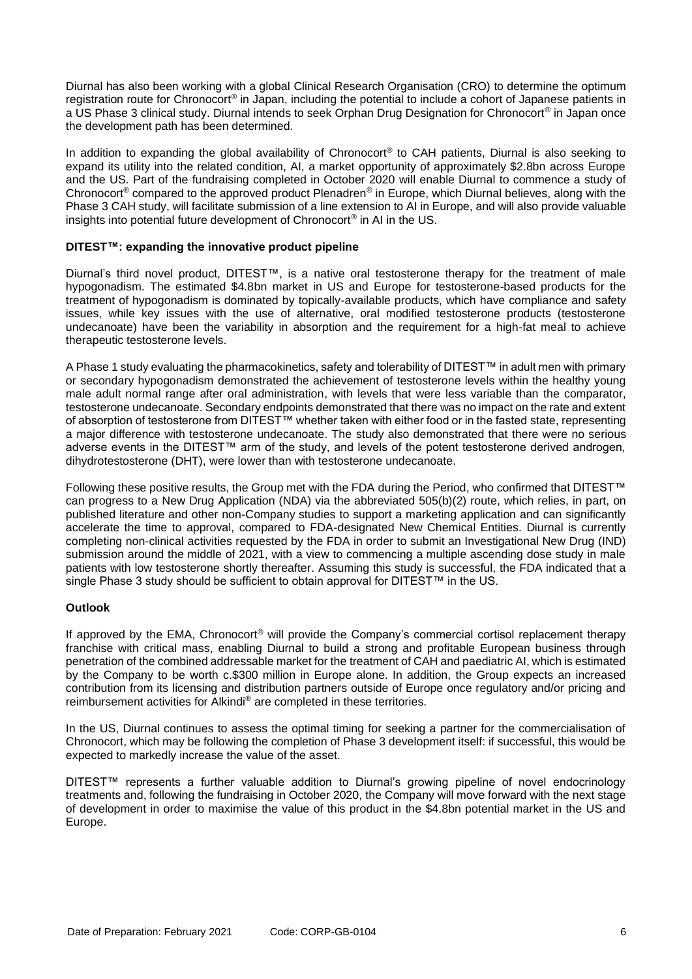Diurnal has also been working with a global Clinical Research Organisation (CRO) to determine the optimum registration route for Chronocort® in Japan, including the potential to include a cohort of Japanese patients in a US Phase 3 clinical study. Diurnal intends to seek Orphan Drug Designation for Chronocort® in Japan once the development path has been determined.

In addition to expanding the global availability of Chronocort<sup>®</sup> to CAH patients, Diurnal is also seeking to expand its utility into the related condition, AI, a market opportunity of approximately \$2.8bn across Europe and the US. Part of the fundraising completed in October 2020 will enable Diurnal to commence a study of Chronocort® compared to the approved product Plenadren® in Europe, which Diurnal believes, along with the Phase 3 CAH study, will facilitate submission of a line extension to AI in Europe, and will also provide valuable insights into potential future development of Chronocort® in AI in the US.

## **DITEST™: expanding the innovative product pipeline**

Diurnal's third novel product, DITEST™, is a native oral testosterone therapy for the treatment of male hypogonadism. The estimated \$4.8bn market in US and Europe for testosterone-based products for the treatment of hypogonadism is dominated by topically-available products, which have compliance and safety issues, while key issues with the use of alternative, oral modified testosterone products (testosterone undecanoate) have been the variability in absorption and the requirement for a high-fat meal to achieve therapeutic testosterone levels.

A Phase 1 study evaluating the pharmacokinetics, safety and tolerability of DITEST™ in adult men with primary or secondary hypogonadism demonstrated the achievement of testosterone levels within the healthy young male adult normal range after oral administration, with levels that were less variable than the comparator, testosterone undecanoate. Secondary endpoints demonstrated that there was no impact on the rate and extent of absorption of testosterone from DITEST™ whether taken with either food or in the fasted state, representing a major difference with testosterone undecanoate. The study also demonstrated that there were no serious adverse events in the DITEST™ arm of the study, and levels of the potent testosterone derived androgen, dihydrotestosterone (DHT), were lower than with testosterone undecanoate.

Following these positive results, the Group met with the FDA during the Period, who confirmed that DITEST™ can progress to a New Drug Application (NDA) via the abbreviated 505(b)(2) route, which relies, in part, on published literature and other non-Company studies to support a marketing application and can significantly accelerate the time to approval, compared to FDA-designated New Chemical Entities. Diurnal is currently completing non-clinical activities requested by the FDA in order to submit an Investigational New Drug (IND) submission around the middle of 2021, with a view to commencing a multiple ascending dose study in male patients with low testosterone shortly thereafter. Assuming this study is successful, the FDA indicated that a single Phase 3 study should be sufficient to obtain approval for DITEST™ in the US.

#### **Outlook**

If approved by the EMA, Chronocort<sup>®</sup> will provide the Company's commercial cortisol replacement therapy franchise with critical mass, enabling Diurnal to build a strong and profitable European business through penetration of the combined addressable market for the treatment of CAH and paediatric AI, which is estimated by the Company to be worth c.\$300 million in Europe alone. In addition, the Group expects an increased contribution from its licensing and distribution partners outside of Europe once regulatory and/or pricing and reimbursement activities for Alkindi® are completed in these territories.

In the US, Diurnal continues to assess the optimal timing for seeking a partner for the commercialisation of Chronocort, which may be following the completion of Phase 3 development itself: if successful, this would be expected to markedly increase the value of the asset.

DITEST™ represents a further valuable addition to Diurnal's growing pipeline of novel endocrinology treatments and, following the fundraising in October 2020, the Company will move forward with the next stage of development in order to maximise the value of this product in the \$4.8bn potential market in the US and Europe.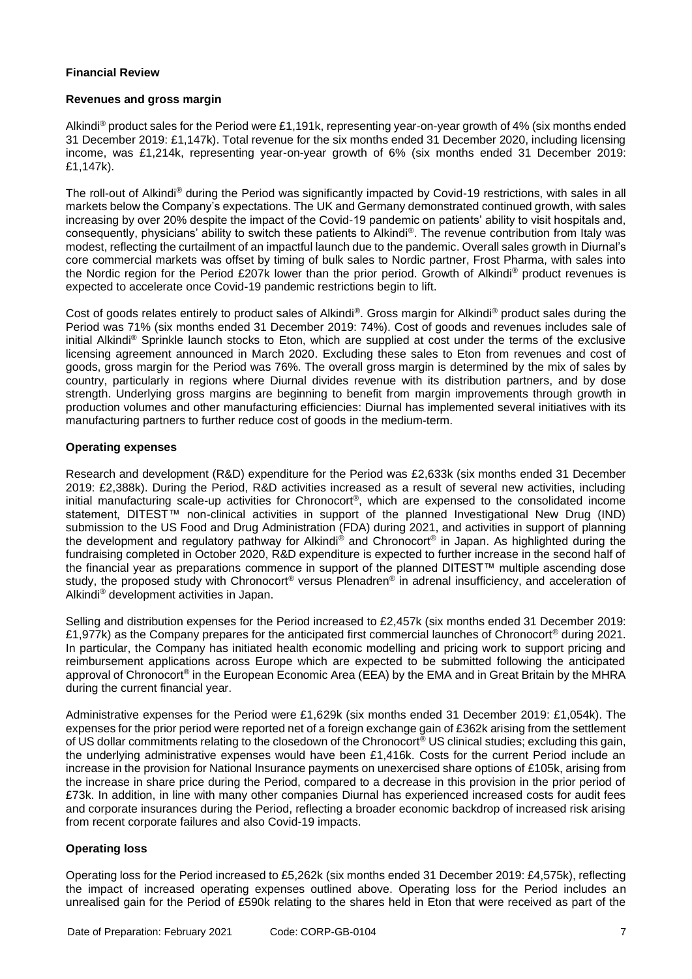## **Financial Review**

#### **Revenues and gross margin**

Alkindi® product sales for the Period were £1,191k, representing year-on-year growth of 4% (six months ended 31 December 2019: £1,147k). Total revenue for the six months ended 31 December 2020, including licensing income, was £1,214k, representing year-on-year growth of 6% (six months ended 31 December 2019: £1,147k).

The roll-out of Alkindi® during the Period was significantly impacted by Covid-19 restrictions, with sales in all markets below the Company's expectations. The UK and Germany demonstrated continued growth, with sales increasing by over 20% despite the impact of the Covid-19 pandemic on patients' ability to visit hospitals and, consequently, physicians' ability to switch these patients to Alkindi®. The revenue contribution from Italy was modest, reflecting the curtailment of an impactful launch due to the pandemic. Overall sales growth in Diurnal's core commercial markets was offset by timing of bulk sales to Nordic partner, Frost Pharma, with sales into the Nordic region for the Period £207k lower than the prior period. Growth of Alkindi® product revenues is expected to accelerate once Covid-19 pandemic restrictions begin to lift.

Cost of goods relates entirely to product sales of Alkindi®. Gross margin for Alkindi® product sales during the Period was 71% (six months ended 31 December 2019: 74%). Cost of goods and revenues includes sale of initial Alkindi® Sprinkle launch stocks to Eton, which are supplied at cost under the terms of the exclusive licensing agreement announced in March 2020. Excluding these sales to Eton from revenues and cost of goods, gross margin for the Period was 76%. The overall gross margin is determined by the mix of sales by country, particularly in regions where Diurnal divides revenue with its distribution partners, and by dose strength. Underlying gross margins are beginning to benefit from margin improvements through growth in production volumes and other manufacturing efficiencies: Diurnal has implemented several initiatives with its manufacturing partners to further reduce cost of goods in the medium-term.

## **Operating expenses**

Research and development (R&D) expenditure for the Period was £2,633k (six months ended 31 December 2019: £2,388k). During the Period, R&D activities increased as a result of several new activities, including initial manufacturing scale-up activities for Chronocort®, which are expensed to the consolidated income statement, DITEST<sup>™</sup> non-clinical activities in support of the planned Investigational New Drug (IND) submission to the US Food and Drug Administration (FDA) during 2021, and activities in support of planning the development and regulatory pathway for Alkindi® and Chronocort® in Japan. As highlighted during the fundraising completed in October 2020, R&D expenditure is expected to further increase in the second half of the financial year as preparations commence in support of the planned DITEST™ multiple ascending dose study, the proposed study with Chronocort® versus Plenadren® in adrenal insufficiency, and acceleration of Alkindi® development activities in Japan.

Selling and distribution expenses for the Period increased to £2,457k (six months ended 31 December 2019: £1,977k) as the Company prepares for the anticipated first commercial launches of Chronocort® during 2021. In particular, the Company has initiated health economic modelling and pricing work to support pricing and reimbursement applications across Europe which are expected to be submitted following the anticipated approval of Chronocort® in the European Economic Area (EEA) by the EMA and in Great Britain by the MHRA during the current financial year.

Administrative expenses for the Period were £1,629k (six months ended 31 December 2019: £1,054k). The expenses for the prior period were reported net of a foreign exchange gain of £362k arising from the settlement of US dollar commitments relating to the closedown of the Chronocort® US clinical studies; excluding this gain, the underlying administrative expenses would have been £1,416k. Costs for the current Period include an increase in the provision for National Insurance payments on unexercised share options of £105k, arising from the increase in share price during the Period, compared to a decrease in this provision in the prior period of £73k. In addition, in line with many other companies Diurnal has experienced increased costs for audit fees and corporate insurances during the Period, reflecting a broader economic backdrop of increased risk arising from recent corporate failures and also Covid-19 impacts.

## **Operating loss**

Operating loss for the Period increased to £5,262k (six months ended 31 December 2019: £4,575k), reflecting the impact of increased operating expenses outlined above. Operating loss for the Period includes an unrealised gain for the Period of £590k relating to the shares held in Eton that were received as part of the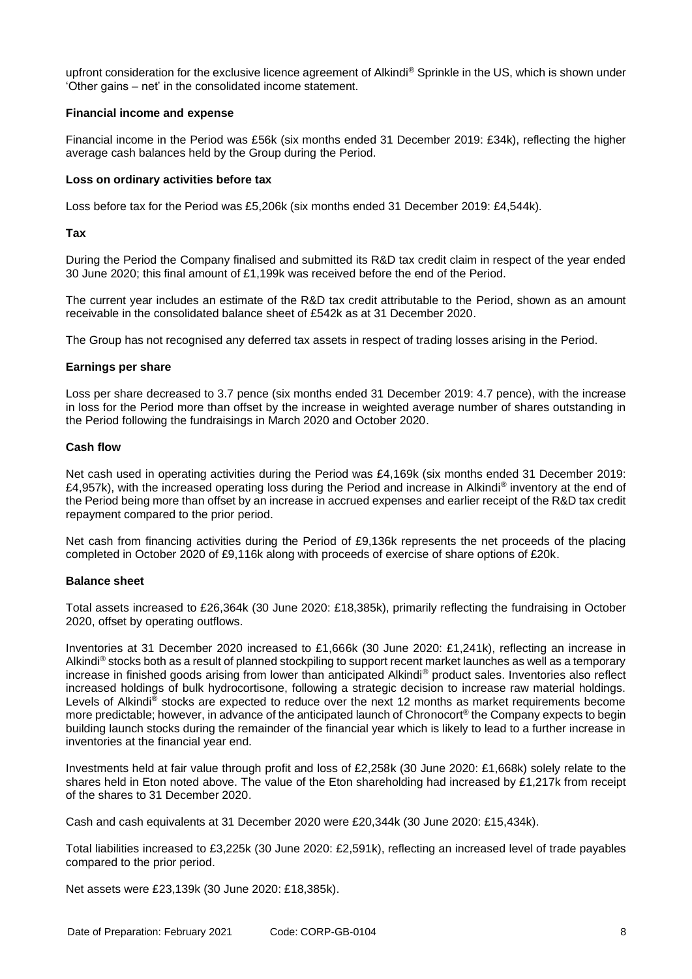upfront consideration for the exclusive licence agreement of Alkindi<sup>®</sup> Sprinkle in the US, which is shown under 'Other gains – net' in the consolidated income statement.

### **Financial income and expense**

Financial income in the Period was £56k (six months ended 31 December 2019: £34k), reflecting the higher average cash balances held by the Group during the Period.

### **Loss on ordinary activities before tax**

Loss before tax for the Period was £5,206k (six months ended 31 December 2019: £4,544k).

### **Tax**

During the Period the Company finalised and submitted its R&D tax credit claim in respect of the year ended 30 June 2020; this final amount of £1,199k was received before the end of the Period.

The current year includes an estimate of the R&D tax credit attributable to the Period, shown as an amount receivable in the consolidated balance sheet of £542k as at 31 December 2020.

The Group has not recognised any deferred tax assets in respect of trading losses arising in the Period.

#### **Earnings per share**

Loss per share decreased to 3.7 pence (six months ended 31 December 2019: 4.7 pence), with the increase in loss for the Period more than offset by the increase in weighted average number of shares outstanding in the Period following the fundraisings in March 2020 and October 2020.

### **Cash flow**

Net cash used in operating activities during the Period was £4,169k (six months ended 31 December 2019: £4,957k), with the increased operating loss during the Period and increase in Alkindi® inventory at the end of the Period being more than offset by an increase in accrued expenses and earlier receipt of the R&D tax credit repayment compared to the prior period.

Net cash from financing activities during the Period of £9,136k represents the net proceeds of the placing completed in October 2020 of £9,116k along with proceeds of exercise of share options of £20k.

## **Balance sheet**

Total assets increased to £26,364k (30 June 2020: £18,385k), primarily reflecting the fundraising in October 2020, offset by operating outflows.

Inventories at 31 December 2020 increased to £1,666k (30 June 2020: £1,241k), reflecting an increase in Alkindi® stocks both as a result of planned stockpiling to support recent market launches as well as a temporary increase in finished goods arising from lower than anticipated Alkindi® product sales. Inventories also reflect increased holdings of bulk hydrocortisone, following a strategic decision to increase raw material holdings. Levels of Alkindi® stocks are expected to reduce over the next 12 months as market requirements become more predictable; however, in advance of the anticipated launch of Chronocort® the Company expects to begin building launch stocks during the remainder of the financial year which is likely to lead to a further increase in inventories at the financial year end.

Investments held at fair value through profit and loss of £2,258k (30 June 2020: £1,668k) solely relate to the shares held in Eton noted above. The value of the Eton shareholding had increased by £1,217k from receipt of the shares to 31 December 2020.

Cash and cash equivalents at 31 December 2020 were £20,344k (30 June 2020: £15,434k).

Total liabilities increased to £3,225k (30 June 2020: £2,591k), reflecting an increased level of trade payables compared to the prior period.

Net assets were £23,139k (30 June 2020: £18,385k).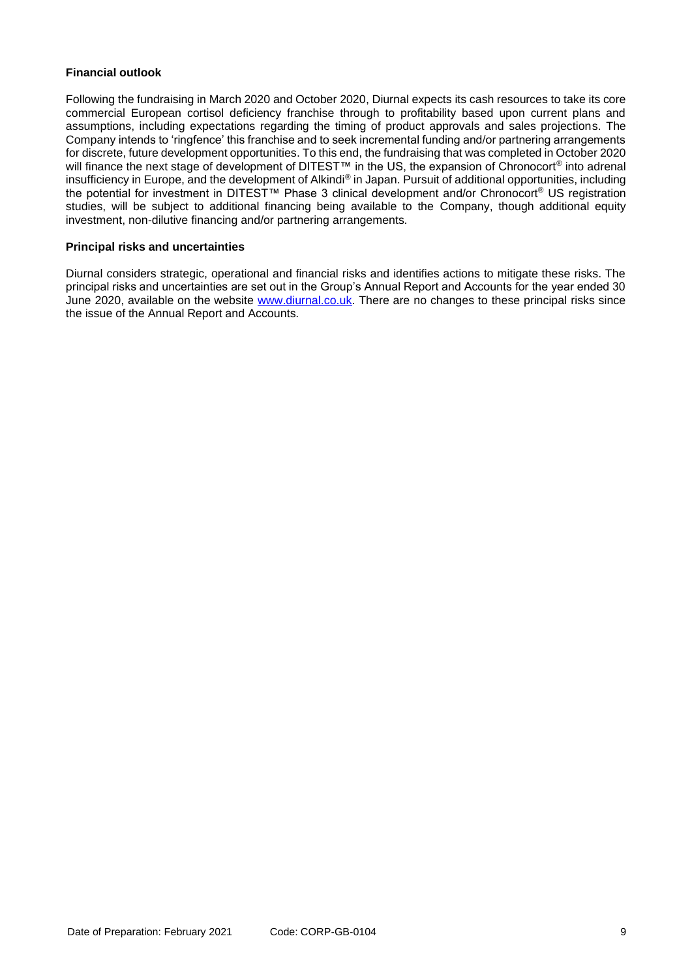### **Financial outlook**

Following the fundraising in March 2020 and October 2020, Diurnal expects its cash resources to take its core commercial European cortisol deficiency franchise through to profitability based upon current plans and assumptions, including expectations regarding the timing of product approvals and sales projections. The Company intends to 'ringfence' this franchise and to seek incremental funding and/or partnering arrangements for discrete, future development opportunities. To this end, the fundraising that was completed in October 2020 will finance the next stage of development of DITEST™ in the US, the expansion of Chronocort<sup>®</sup> into adrenal insufficiency in Europe, and the development of Alkindi® in Japan. Pursuit of additional opportunities, including the potential for investment in DITEST™ Phase 3 clinical development and/or Chronocort® US registration studies, will be subject to additional financing being available to the Company, though additional equity investment, non-dilutive financing and/or partnering arrangements.

### **Principal risks and uncertainties**

Diurnal considers strategic, operational and financial risks and identifies actions to mitigate these risks. The principal risks and uncertainties are set out in the Group's Annual Report and Accounts for the year ended 30 June 2020, available on the website [www.diurnal.co.uk.](http://www.diurnal.co.uk/) There are no changes to these principal risks since the issue of the Annual Report and Accounts.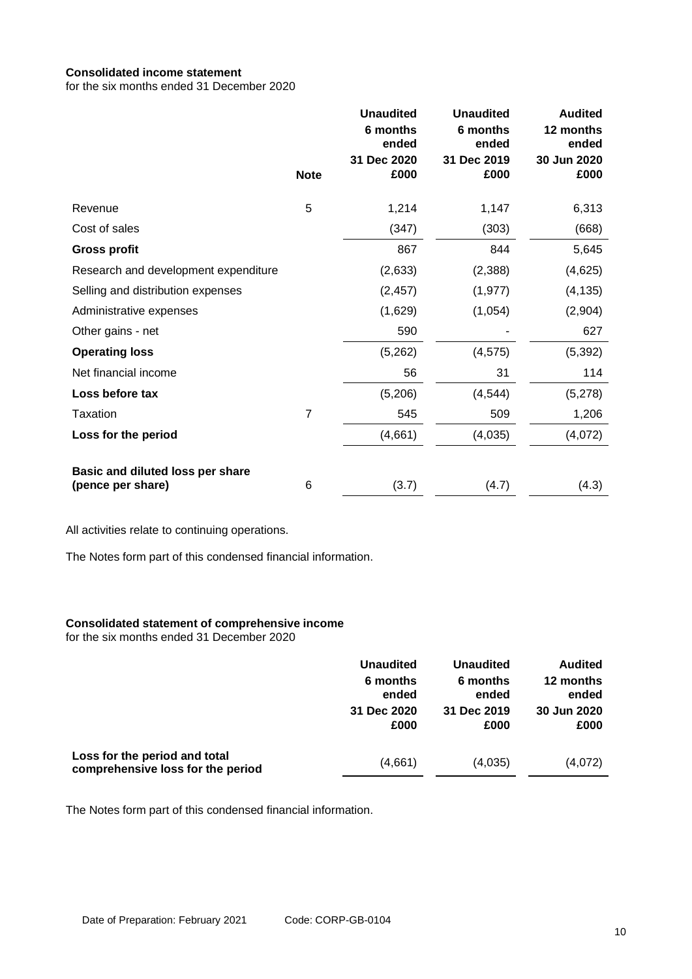# **Consolidated income statement**

for the six months ended 31 December 2020

|                                                       | <b>Note</b>    | <b>Unaudited</b><br>6 months<br>ended<br>31 Dec 2020<br>£000 | <b>Unaudited</b><br>6 months<br>ended<br>31 Dec 2019<br>£000 | <b>Audited</b><br>12 months<br>ended<br>30 Jun 2020<br>£000 |
|-------------------------------------------------------|----------------|--------------------------------------------------------------|--------------------------------------------------------------|-------------------------------------------------------------|
| Revenue                                               | 5              | 1,214                                                        | 1,147                                                        | 6,313                                                       |
| Cost of sales                                         |                | (347)                                                        | (303)                                                        | (668)                                                       |
| <b>Gross profit</b>                                   |                | 867                                                          | 844                                                          | 5,645                                                       |
| Research and development expenditure                  |                | (2,633)                                                      | (2,388)                                                      | (4,625)                                                     |
| Selling and distribution expenses                     |                | (2, 457)                                                     | (1, 977)                                                     | (4, 135)                                                    |
| Administrative expenses                               |                | (1,629)                                                      | (1,054)                                                      | (2,904)                                                     |
| Other gains - net                                     |                | 590                                                          |                                                              | 627                                                         |
| <b>Operating loss</b>                                 |                | (5,262)                                                      | (4, 575)                                                     | (5, 392)                                                    |
| Net financial income                                  |                | 56                                                           | 31                                                           | 114                                                         |
| Loss before tax                                       |                | (5,206)                                                      | (4, 544)                                                     | (5,278)                                                     |
| Taxation                                              | $\overline{7}$ | 545                                                          | 509                                                          | 1,206                                                       |
| Loss for the period                                   |                | (4,661)                                                      | (4,035)                                                      | (4,072)                                                     |
| Basic and diluted loss per share<br>(pence per share) | 6              | (3.7)                                                        | (4.7)                                                        | (4.3)                                                       |

All activities relate to continuing operations.

The Notes form part of this condensed financial information.

#### **Consolidated statement of comprehensive income**

for the six months ended 31 December 2020

|                                   | <b>Unaudited</b> | <b>Unaudited</b> | <b>Audited</b> |
|-----------------------------------|------------------|------------------|----------------|
|                                   | 6 months         | 6 months         | 12 months      |
|                                   | ended            | ended            | ended          |
|                                   | 31 Dec 2020      | 31 Dec 2019      | 30 Jun 2020    |
| Loss for the period and total     | £000             | £000             | £000           |
| comprehensive loss for the period | (4,661)          | (4,035)          | (4,072)        |

The Notes form part of this condensed financial information.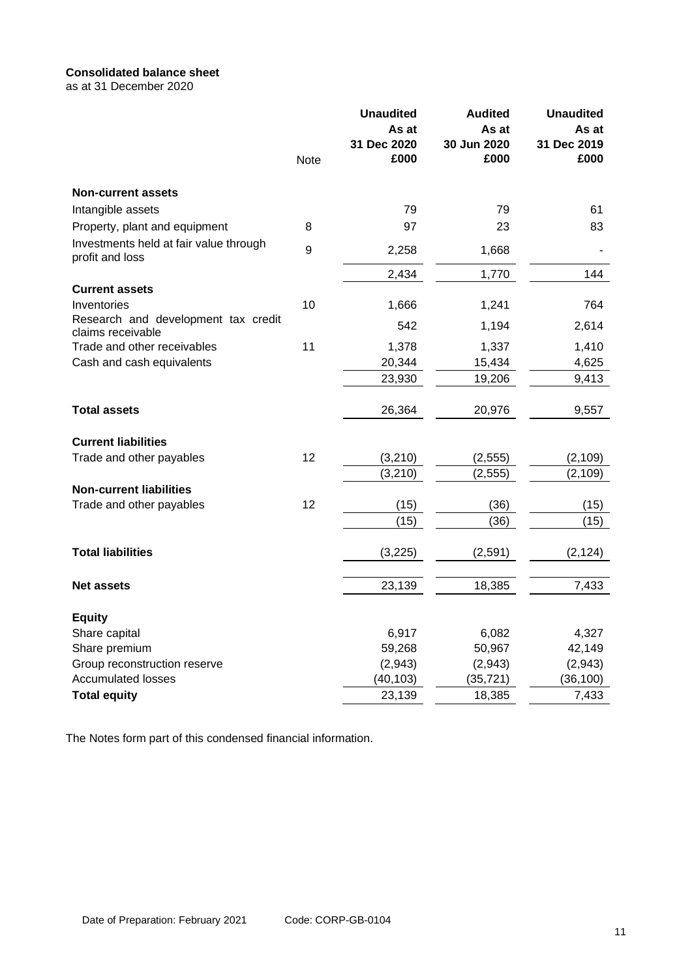# **Consolidated balance sheet**

as at 31 December 2020

|                                                           | <b>Note</b> | <b>Unaudited</b><br>As at<br>31 Dec 2020<br>£000 | <b>Audited</b><br>As at<br>30 Jun 2020<br>£000 | <b>Unaudited</b><br>As at<br>31 Dec 2019<br>£000 |
|-----------------------------------------------------------|-------------|--------------------------------------------------|------------------------------------------------|--------------------------------------------------|
| <b>Non-current assets</b>                                 |             |                                                  |                                                |                                                  |
| Intangible assets                                         |             | 79                                               | 79                                             | 61                                               |
| Property, plant and equipment                             | 8           | 97                                               | 23                                             | 83                                               |
| Investments held at fair value through<br>profit and loss | 9           | 2,258                                            | 1,668                                          |                                                  |
|                                                           |             | 2,434                                            | 1,770                                          | 144                                              |
| <b>Current assets</b>                                     |             |                                                  |                                                |                                                  |
| Inventories                                               | 10          | 1,666                                            | 1,241                                          | 764                                              |
| Research and development tax credit<br>claims receivable  |             | 542                                              | 1,194                                          | 2,614                                            |
| Trade and other receivables                               | 11          | 1,378                                            | 1,337                                          | 1,410                                            |
| Cash and cash equivalents                                 |             | 20,344                                           | 15,434                                         | 4,625                                            |
|                                                           |             | 23,930                                           | 19,206                                         | 9,413                                            |
| <b>Total assets</b>                                       |             | 26,364                                           | 20,976                                         | 9,557                                            |
| <b>Current liabilities</b>                                |             |                                                  |                                                |                                                  |
| Trade and other payables                                  | 12          | (3,210)                                          | (2, 555)                                       | (2, 109)                                         |
|                                                           |             | (3,210)                                          | (2, 555)                                       | (2, 109)                                         |
| <b>Non-current liabilities</b>                            |             |                                                  |                                                |                                                  |
| Trade and other payables                                  | 12          | (15)                                             | (36)                                           | (15)                                             |
|                                                           |             | (15)                                             | (36)                                           | (15)                                             |
| <b>Total liabilities</b>                                  |             | (3,225)                                          | (2, 591)                                       | (2, 124)                                         |
| <b>Net assets</b>                                         |             | 23,139                                           | 18,385                                         | 7,433                                            |
| <b>Equity</b>                                             |             |                                                  |                                                |                                                  |
| Share capital                                             |             | 6,917                                            | 6,082                                          | 4,327                                            |
| Share premium                                             |             | 59,268                                           | 50,967                                         | 42,149                                           |
| Group reconstruction reserve                              |             | (2,943)                                          | (2,943)                                        | (2,943)                                          |
| <b>Accumulated losses</b>                                 |             | (40, 103)                                        | (35, 721)                                      | (36, 100)                                        |
| <b>Total equity</b>                                       |             | 23,139                                           | 18,385                                         | 7,433                                            |

The Notes form part of this condensed financial information.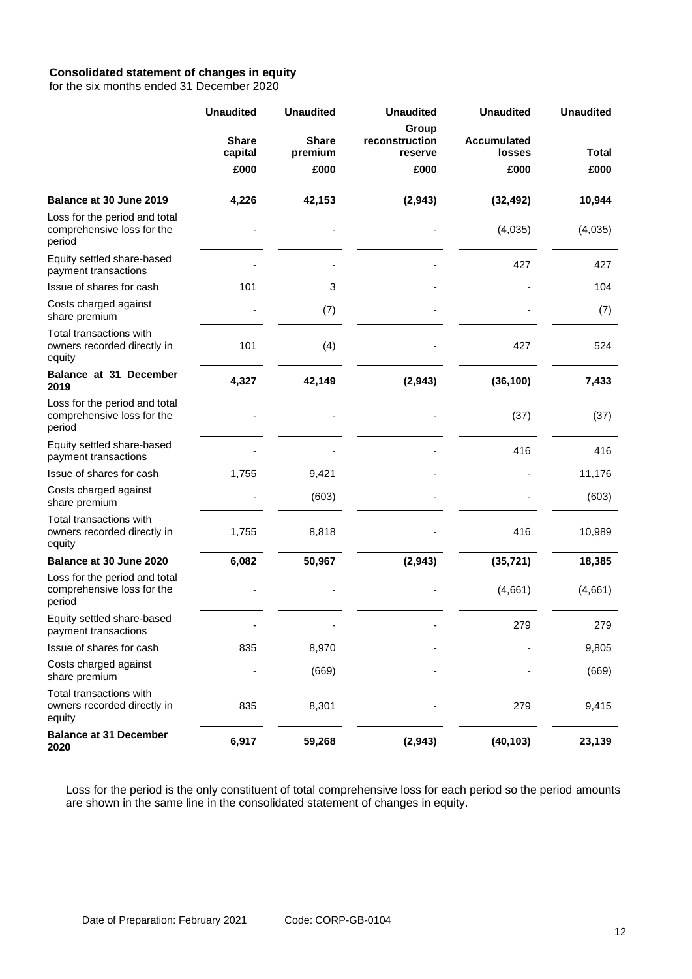# **Consolidated statement of changes in equity**

for the six months ended 31 December 2020

|                                                                       | <b>Unaudited</b>        | <b>Unaudited</b>        | <b>Unaudited</b>                   | <b>Unaudited</b>                    | <b>Unaudited</b> |
|-----------------------------------------------------------------------|-------------------------|-------------------------|------------------------------------|-------------------------------------|------------------|
|                                                                       | <b>Share</b><br>capital | <b>Share</b><br>premium | Group<br>reconstruction<br>reserve | <b>Accumulated</b><br><b>losses</b> | Total            |
|                                                                       | £000                    | £000                    | £000                               | £000                                | £000             |
| Balance at 30 June 2019                                               | 4,226                   | 42,153                  | (2, 943)                           | (32, 492)                           | 10,944           |
| Loss for the period and total<br>comprehensive loss for the<br>period |                         |                         |                                    | (4,035)                             | (4,035)          |
| Equity settled share-based<br>payment transactions                    |                         |                         |                                    | 427                                 | 427              |
| Issue of shares for cash                                              | 101                     | 3                       |                                    |                                     | 104              |
| Costs charged against<br>share premium                                |                         | (7)                     |                                    |                                     | (7)              |
| Total transactions with<br>owners recorded directly in<br>equity      | 101                     | (4)                     |                                    | 427                                 | 524              |
| Balance at 31 December<br>2019                                        | 4,327                   | 42,149                  | (2, 943)                           | (36, 100)                           | 7,433            |
| Loss for the period and total<br>comprehensive loss for the<br>period |                         |                         |                                    | (37)                                | (37)             |
| Equity settled share-based<br>payment transactions                    |                         |                         |                                    | 416                                 | 416              |
| Issue of shares for cash                                              | 1,755                   | 9,421                   |                                    |                                     | 11,176           |
| Costs charged against<br>share premium                                |                         | (603)                   |                                    |                                     | (603)            |
| Total transactions with<br>owners recorded directly in<br>equity      | 1,755                   | 8,818                   |                                    | 416                                 | 10,989           |
| Balance at 30 June 2020                                               | 6,082                   | 50,967                  | (2,943)                            | (35, 721)                           | 18,385           |
| Loss for the period and total<br>comprehensive loss for the<br>period |                         |                         |                                    | (4,661)                             | (4,661)          |
| Equity settled share-based<br>payment transactions                    |                         |                         |                                    | 279                                 | 279              |
| Issue of shares for cash                                              | 835                     | 8,970                   |                                    |                                     | 9,805            |
| Costs charged against<br>share premium                                |                         | (669)                   |                                    |                                     | (669)            |
| Total transactions with<br>owners recorded directly in<br>equity      | 835                     | 8,301                   |                                    | 279                                 | 9,415            |
| <b>Balance at 31 December</b><br>2020                                 | 6,917                   | 59,268                  | (2, 943)                           | (40, 103)                           | 23,139           |

Loss for the period is the only constituent of total comprehensive loss for each period so the period amounts are shown in the same line in the consolidated statement of changes in equity.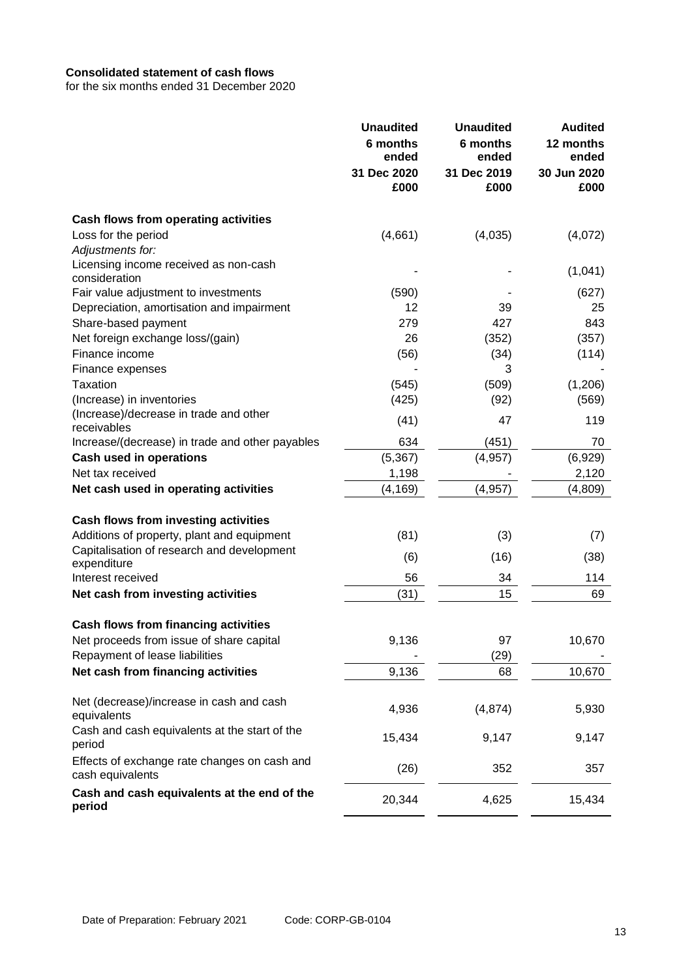## **Consolidated statement of cash flows**

for the six months ended 31 December 2020

|                                                                  | <b>Unaudited</b><br>6 months<br>ended<br>31 Dec 2020<br>£000 | <b>Unaudited</b><br>6 months<br>ended<br>31 Dec 2019<br>£000 | <b>Audited</b><br>12 months<br>ended<br>30 Jun 2020<br>£000 |
|------------------------------------------------------------------|--------------------------------------------------------------|--------------------------------------------------------------|-------------------------------------------------------------|
| <b>Cash flows from operating activities</b>                      |                                                              |                                                              |                                                             |
| Loss for the period                                              | (4,661)                                                      | (4,035)                                                      | (4,072)                                                     |
| Adjustments for:                                                 |                                                              |                                                              |                                                             |
| Licensing income received as non-cash                            |                                                              |                                                              | (1,041)                                                     |
| consideration                                                    |                                                              |                                                              |                                                             |
| Fair value adjustment to investments                             | (590)                                                        |                                                              | (627)                                                       |
| Depreciation, amortisation and impairment                        | 12                                                           | 39                                                           | 25                                                          |
| Share-based payment                                              | 279                                                          | 427                                                          | 843                                                         |
| Net foreign exchange loss/(gain)                                 | 26                                                           | (352)                                                        | (357)                                                       |
| Finance income                                                   | (56)                                                         | (34)                                                         | (114)                                                       |
| Finance expenses                                                 |                                                              | 3                                                            |                                                             |
| Taxation                                                         | (545)                                                        | (509)                                                        | (1,206)                                                     |
| (Increase) in inventories                                        | (425)                                                        | (92)                                                         | (569)                                                       |
| (Increase)/decrease in trade and other<br>receivables            | (41)                                                         | 47                                                           | 119                                                         |
| Increase/(decrease) in trade and other payables                  | 634                                                          | (451)                                                        | 70                                                          |
| <b>Cash used in operations</b>                                   | (5, 367)                                                     | (4, 957)                                                     | (6,929)                                                     |
| Net tax received                                                 | 1,198                                                        |                                                              | 2,120                                                       |
| Net cash used in operating activities                            | (4, 169)                                                     | (4, 957)                                                     | (4,809)                                                     |
|                                                                  |                                                              |                                                              |                                                             |
| Cash flows from investing activities                             |                                                              |                                                              |                                                             |
| Additions of property, plant and equipment                       | (81)                                                         | (3)                                                          | (7)                                                         |
| Capitalisation of research and development<br>expenditure        | (6)                                                          | (16)                                                         | (38)                                                        |
| Interest received                                                | 56                                                           | 34                                                           | 114                                                         |
| Net cash from investing activities                               | (31)                                                         | 15                                                           | 69                                                          |
|                                                                  |                                                              |                                                              |                                                             |
| <b>Cash flows from financing activities</b>                      |                                                              |                                                              |                                                             |
| Net proceeds from issue of share capital                         | 9,136                                                        | 97                                                           | 10,670                                                      |
| Repayment of lease liabilities                                   |                                                              | (29)                                                         |                                                             |
| Net cash from financing activities                               | 9,136                                                        | 68                                                           | 10,670                                                      |
| Net (decrease)/increase in cash and cash<br>equivalents          | 4,936                                                        | (4, 874)                                                     | 5,930                                                       |
| Cash and cash equivalents at the start of the<br>period          | 15,434                                                       | 9,147                                                        | 9,147                                                       |
| Effects of exchange rate changes on cash and<br>cash equivalents | (26)                                                         | 352                                                          | 357                                                         |
| Cash and cash equivalents at the end of the<br>period            | 20,344                                                       | 4,625                                                        | 15,434                                                      |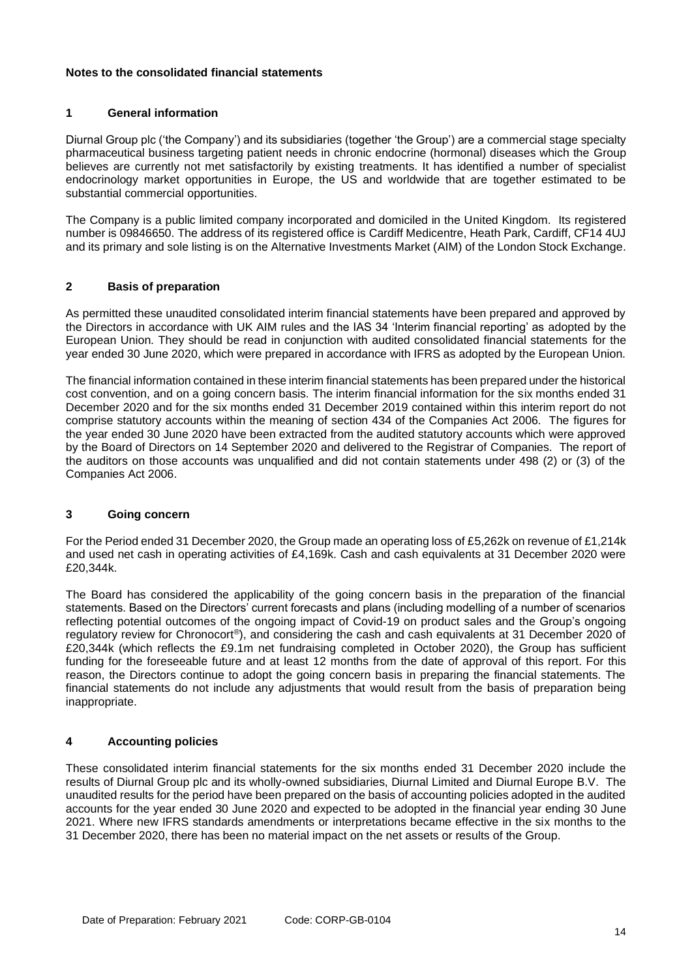### **Notes to the consolidated financial statements**

## **1 General information**

Diurnal Group plc ('the Company') and its subsidiaries (together 'the Group') are a commercial stage specialty pharmaceutical business targeting patient needs in chronic endocrine (hormonal) diseases which the Group believes are currently not met satisfactorily by existing treatments. It has identified a number of specialist endocrinology market opportunities in Europe, the US and worldwide that are together estimated to be substantial commercial opportunities.

The Company is a public limited company incorporated and domiciled in the United Kingdom. Its registered number is 09846650. The address of its registered office is Cardiff Medicentre, Heath Park, Cardiff, CF14 4UJ and its primary and sole listing is on the Alternative Investments Market (AIM) of the London Stock Exchange.

# **2 Basis of preparation**

As permitted these unaudited consolidated interim financial statements have been prepared and approved by the Directors in accordance with UK AIM rules and the IAS 34 'Interim financial reporting' as adopted by the European Union. They should be read in conjunction with audited consolidated financial statements for the year ended 30 June 2020, which were prepared in accordance with IFRS as adopted by the European Union.

The financial information contained in these interim financial statements has been prepared under the historical cost convention, and on a going concern basis. The interim financial information for the six months ended 31 December 2020 and for the six months ended 31 December 2019 contained within this interim report do not comprise statutory accounts within the meaning of section 434 of the Companies Act 2006. The figures for the year ended 30 June 2020 have been extracted from the audited statutory accounts which were approved by the Board of Directors on 14 September 2020 and delivered to the Registrar of Companies. The report of the auditors on those accounts was unqualified and did not contain statements under 498 (2) or (3) of the Companies Act 2006.

## **3 Going concern**

For the Period ended 31 December 2020, the Group made an operating loss of £5,262k on revenue of £1,214k and used net cash in operating activities of £4,169k. Cash and cash equivalents at 31 December 2020 were £20,344k.

The Board has considered the applicability of the going concern basis in the preparation of the financial statements. Based on the Directors' current forecasts and plans (including modelling of a number of scenarios reflecting potential outcomes of the ongoing impact of Covid-19 on product sales and the Group's ongoing regulatory review for Chronocort®), and considering the cash and cash equivalents at 31 December 2020 of £20,344k (which reflects the £9.1m net fundraising completed in October 2020), the Group has sufficient funding for the foreseeable future and at least 12 months from the date of approval of this report. For this reason, the Directors continue to adopt the going concern basis in preparing the financial statements. The financial statements do not include any adjustments that would result from the basis of preparation being inappropriate.

## **4 Accounting policies**

These consolidated interim financial statements for the six months ended 31 December 2020 include the results of Diurnal Group plc and its wholly-owned subsidiaries, Diurnal Limited and Diurnal Europe B.V. The unaudited results for the period have been prepared on the basis of accounting policies adopted in the audited accounts for the year ended 30 June 2020 and expected to be adopted in the financial year ending 30 June 2021. Where new IFRS standards amendments or interpretations became effective in the six months to the 31 December 2020, there has been no material impact on the net assets or results of the Group.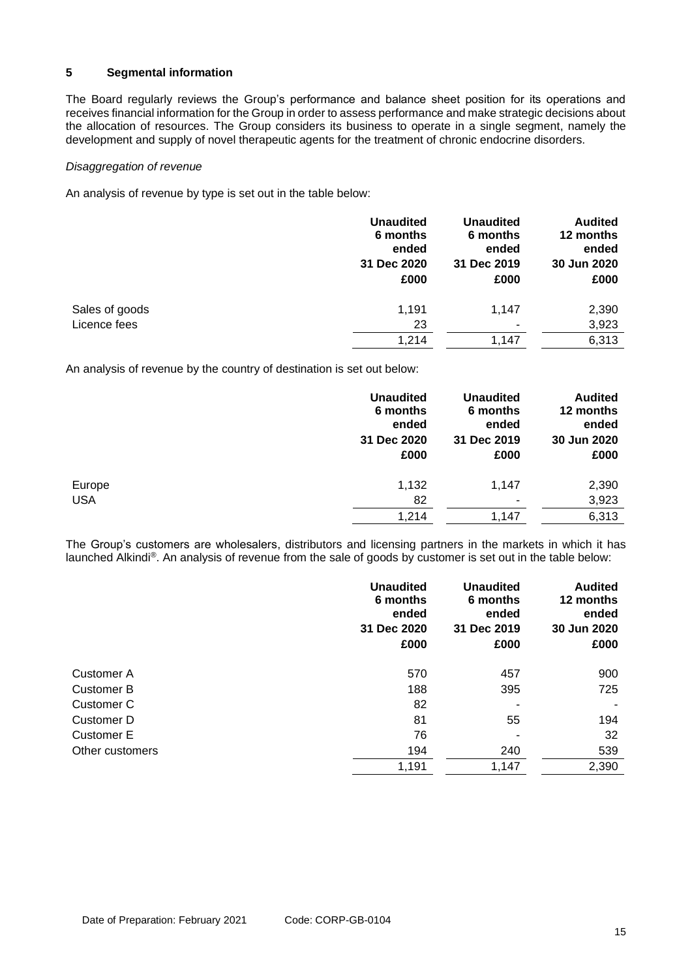## **5 Segmental information**

The Board regularly reviews the Group's performance and balance sheet position for its operations and receives financial information for the Group in order to assess performance and make strategic decisions about the allocation of resources. The Group considers its business to operate in a single segment, namely the development and supply of novel therapeutic agents for the treatment of chronic endocrine disorders.

#### *Disaggregation of revenue*

An analysis of revenue by type is set out in the table below:

|                | <b>Unaudited</b><br>6 months<br>ended<br>31 Dec 2020<br>£000 | <b>Unaudited</b><br>6 months<br>ended<br>31 Dec 2019<br>£000 | <b>Audited</b><br>12 months<br>ended<br>30 Jun 2020<br>£000 |
|----------------|--------------------------------------------------------------|--------------------------------------------------------------|-------------------------------------------------------------|
| Sales of goods | 1,191                                                        | 1.147                                                        | 2,390                                                       |
| Licence fees   | 23                                                           | ٠                                                            | 3,923                                                       |
|                | 1,214                                                        | 1,147                                                        | 6,313                                                       |

An analysis of revenue by the country of destination is set out below:

|            | <b>Unaudited</b><br>6 months<br>ended<br>31 Dec 2020<br>£000 | <b>Unaudited</b><br>6 months<br>ended<br>31 Dec 2019<br>£000 | <b>Audited</b><br>12 months<br>ended<br>30 Jun 2020<br>£000 |
|------------|--------------------------------------------------------------|--------------------------------------------------------------|-------------------------------------------------------------|
| Europe     | 1,132                                                        | 1,147                                                        | 2,390                                                       |
| <b>USA</b> | 82                                                           | ٠                                                            | 3,923                                                       |
|            | 1,214                                                        | 1,147                                                        | 6,313                                                       |

The Group's customers are wholesalers, distributors and licensing partners in the markets in which it has launched Alkindi®. An analysis of revenue from the sale of goods by customer is set out in the table below:

|                 | <b>Unaudited</b><br>6 months<br>ended<br>31 Dec 2020<br>£000 | <b>Unaudited</b><br>6 months<br>ended<br>31 Dec 2019<br>£000 | <b>Audited</b><br>12 months<br>ended<br>30 Jun 2020<br>£000 |
|-----------------|--------------------------------------------------------------|--------------------------------------------------------------|-------------------------------------------------------------|
| Customer A      | 570                                                          | 457                                                          | 900                                                         |
| Customer B      | 188                                                          | 395                                                          | 725                                                         |
| Customer C      | 82                                                           | $\blacksquare$                                               |                                                             |
| Customer D      | 81                                                           | 55                                                           | 194                                                         |
| Customer E      | 76                                                           | ٠                                                            | 32                                                          |
| Other customers | 194                                                          | 240                                                          | 539                                                         |
|                 | 1,191                                                        | 1,147                                                        | 2,390                                                       |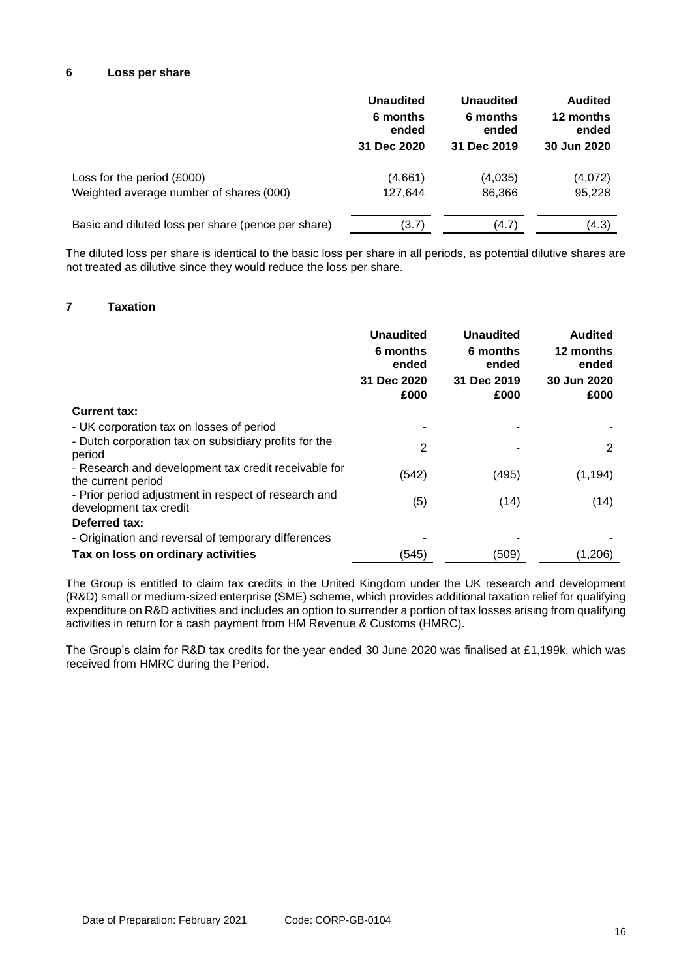## **6 Loss per share**

|                                                    | <b>Unaudited</b> | <b>Unaudited</b> | <b>Audited</b> |
|----------------------------------------------------|------------------|------------------|----------------|
|                                                    | 6 months         | 6 months         | 12 months      |
|                                                    | ended            | ended            | ended          |
|                                                    | 31 Dec 2020      | 31 Dec 2019      | 30 Jun 2020    |
| Loss for the period (£000)                         | (4,661)          | (4,035)          | (4,072)        |
| Weighted average number of shares (000)            | 127,644          | 86,366           | 95,228         |
| Basic and diluted loss per share (pence per share) | (3.7)            | (4.7)            | (4.3)          |

The diluted loss per share is identical to the basic loss per share in all periods, as potential dilutive shares are not treated as dilutive since they would reduce the loss per share.

# **7 Taxation**

|                                                                                | <b>Unaudited</b><br>6 months<br>ended<br>31 Dec 2020<br>£000 | <b>Unaudited</b><br>6 months<br>ended<br>31 Dec 2019<br>£000 | <b>Audited</b><br>12 months<br>ended<br>30 Jun 2020<br>£000 |
|--------------------------------------------------------------------------------|--------------------------------------------------------------|--------------------------------------------------------------|-------------------------------------------------------------|
| <b>Current tax:</b>                                                            |                                                              |                                                              |                                                             |
| - UK corporation tax on losses of period                                       |                                                              |                                                              |                                                             |
| - Dutch corporation tax on subsidiary profits for the<br>period                | 2                                                            |                                                              | 2                                                           |
| - Research and development tax credit receivable for<br>the current period     | (542)                                                        | (495)                                                        | (1, 194)                                                    |
| - Prior period adjustment in respect of research and<br>development tax credit | (5)                                                          | (14)                                                         | (14)                                                        |
| Deferred tax:                                                                  |                                                              |                                                              |                                                             |
| - Origination and reversal of temporary differences                            |                                                              |                                                              |                                                             |
| Tax on loss on ordinary activities                                             | (545)                                                        | (509)                                                        | (1,206)                                                     |

The Group is entitled to claim tax credits in the United Kingdom under the UK research and development (R&D) small or medium-sized enterprise (SME) scheme, which provides additional taxation relief for qualifying expenditure on R&D activities and includes an option to surrender a portion of tax losses arising from qualifying activities in return for a cash payment from HM Revenue & Customs (HMRC).

The Group's claim for R&D tax credits for the year ended 30 June 2020 was finalised at £1,199k, which was received from HMRC during the Period.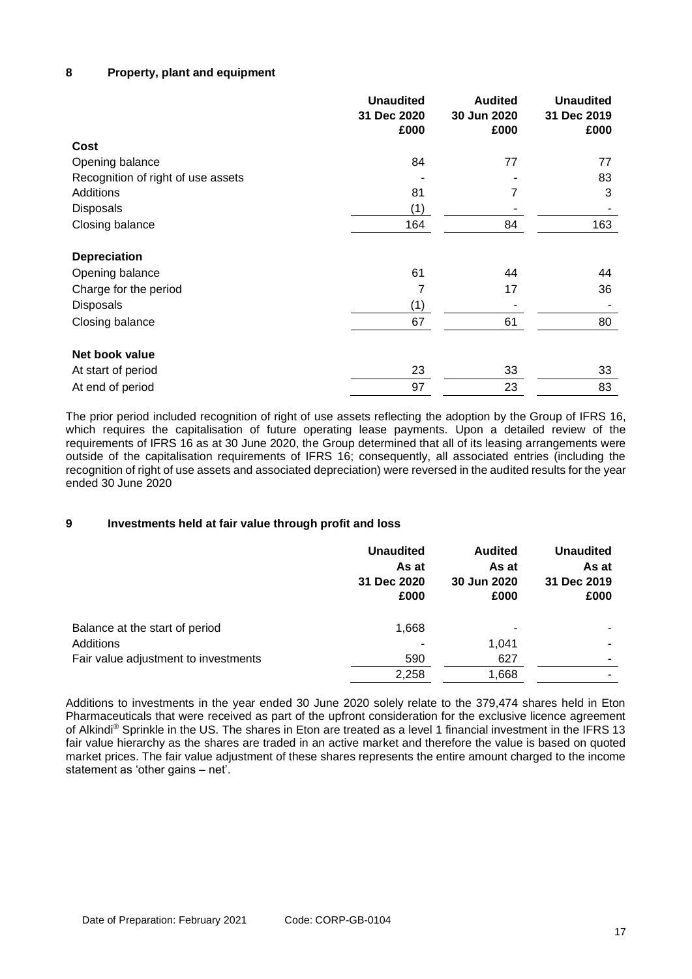## **8 Property, plant and equipment**

|                                    | <b>Unaudited</b><br>31 Dec 2020<br>£000 | <b>Audited</b><br>30 Jun 2020<br>£000 | <b>Unaudited</b><br>31 Dec 2019<br>£000 |
|------------------------------------|-----------------------------------------|---------------------------------------|-----------------------------------------|
| Cost                               |                                         |                                       |                                         |
| Opening balance                    | 84                                      | 77                                    | 77                                      |
| Recognition of right of use assets |                                         |                                       | 83                                      |
| Additions                          | 81                                      | 7                                     | 3                                       |
| <b>Disposals</b>                   | (1)                                     |                                       |                                         |
| Closing balance                    | 164                                     | 84                                    | 163                                     |
| <b>Depreciation</b>                |                                         |                                       |                                         |
| Opening balance                    | 61                                      | 44                                    | 44                                      |
| Charge for the period              | 7                                       | 17                                    | 36                                      |
| <b>Disposals</b>                   | (1)                                     |                                       |                                         |
| Closing balance                    | 67                                      | 61                                    | 80                                      |
| Net book value                     |                                         |                                       |                                         |
| At start of period                 | 23                                      | 33                                    | 33                                      |
| At end of period                   | 97                                      | 23                                    | 83                                      |

The prior period included recognition of right of use assets reflecting the adoption by the Group of IFRS 16, which requires the capitalisation of future operating lease payments. Upon a detailed review of the requirements of IFRS 16 as at 30 June 2020, the Group determined that all of its leasing arrangements were outside of the capitalisation requirements of IFRS 16; consequently, all associated entries (including the recognition of right of use assets and associated depreciation) were reversed in the audited results for the year ended 30 June 2020

## **9 Investments held at fair value through profit and loss**

|                                      | <b>Unaudited</b><br>As at<br>31 Dec 2020<br>£000 | <b>Audited</b><br>As at<br>30 Jun 2020<br>£000 | <b>Unaudited</b><br>As at<br>31 Dec 2019<br>£000 |
|--------------------------------------|--------------------------------------------------|------------------------------------------------|--------------------------------------------------|
| Balance at the start of period       | 1,668                                            |                                                | ۰                                                |
| Additions                            |                                                  | 1,041                                          | -                                                |
| Fair value adjustment to investments | 590                                              | 627                                            | -                                                |
|                                      | 2,258                                            | 1,668                                          |                                                  |

Additions to investments in the year ended 30 June 2020 solely relate to the 379,474 shares held in Eton Pharmaceuticals that were received as part of the upfront consideration for the exclusive licence agreement of Alkindi® Sprinkle in the US. The shares in Eton are treated as a level 1 financial investment in the IFRS 13 fair value hierarchy as the shares are traded in an active market and therefore the value is based on quoted market prices. The fair value adjustment of these shares represents the entire amount charged to the income statement as 'other gains – net'.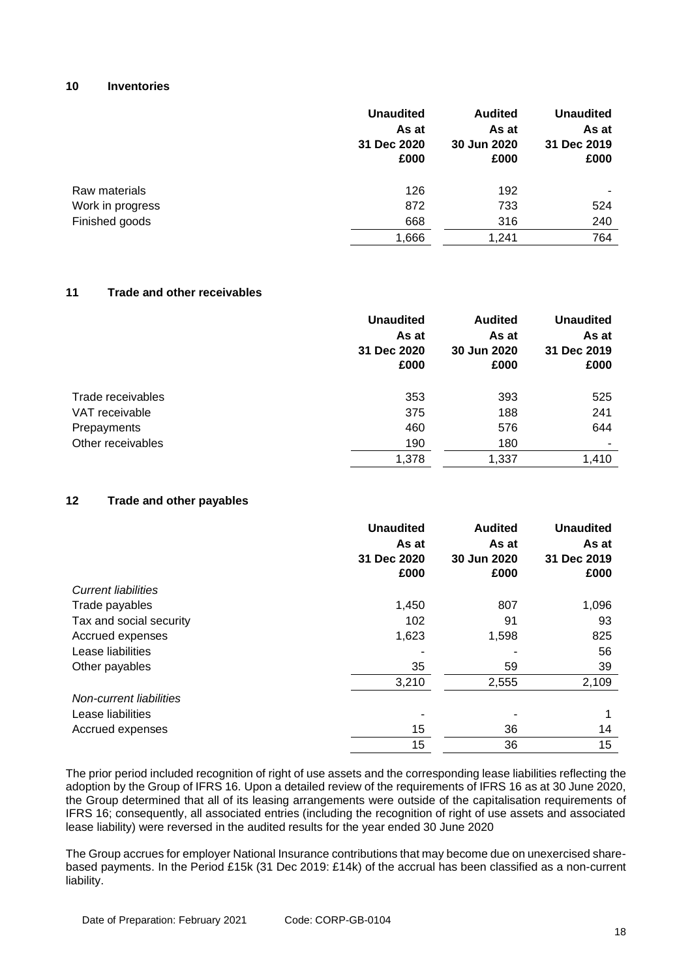### **10 Inventories**

|                  | <b>Unaudited</b><br>As at<br>31 Dec 2020<br>£000 | <b>Audited</b><br>As at<br>30 Jun 2020<br>£000 | <b>Unaudited</b><br>As at<br>31 Dec 2019<br>£000 |
|------------------|--------------------------------------------------|------------------------------------------------|--------------------------------------------------|
| Raw materials    | 126                                              | 192                                            |                                                  |
| Work in progress | 872                                              | 733                                            | 524                                              |
| Finished goods   | 668                                              | 316                                            | 240                                              |
|                  | 1,666                                            | 1,241                                          | 764                                              |

## **11 Trade and other receivables**

|                   | <b>Unaudited</b><br>As at<br>31 Dec 2020<br>£000 | <b>Audited</b><br>As at<br>30 Jun 2020<br>£000 | <b>Unaudited</b><br>As at<br>31 Dec 2019<br>£000 |
|-------------------|--------------------------------------------------|------------------------------------------------|--------------------------------------------------|
| Trade receivables | 353                                              | 393                                            | 525                                              |
| VAT receivable    | 375                                              | 188                                            | 241                                              |
| Prepayments       | 460                                              | 576                                            | 644                                              |
| Other receivables | 190                                              | 180                                            |                                                  |
|                   | 1,378                                            | 1,337                                          | 1.410                                            |

## **12 Trade and other payables**

|                                | <b>Unaudited</b> | <b>Audited</b> | <b>Unaudited</b> |
|--------------------------------|------------------|----------------|------------------|
|                                | As at            | As at          | As at            |
|                                | 31 Dec 2020      | 30 Jun 2020    | 31 Dec 2019      |
|                                | £000             | £000           | £000             |
| <b>Current liabilities</b>     |                  |                |                  |
| Trade payables                 | 1,450            | 807            | 1,096            |
| Tax and social security        | 102              | 91             | 93               |
| Accrued expenses               | 1,623            | 1,598          | 825              |
| Lease liabilities              |                  |                | 56               |
| Other payables                 | 35               | 59             | 39               |
|                                | 3,210            | 2,555          | 2,109            |
| <b>Non-current liabilities</b> |                  |                |                  |
| Lease liabilities              |                  |                |                  |
| Accrued expenses               | 15               | 36             | 14               |
|                                | 15               | 36             | 15               |

The prior period included recognition of right of use assets and the corresponding lease liabilities reflecting the adoption by the Group of IFRS 16. Upon a detailed review of the requirements of IFRS 16 as at 30 June 2020, the Group determined that all of its leasing arrangements were outside of the capitalisation requirements of IFRS 16; consequently, all associated entries (including the recognition of right of use assets and associated lease liability) were reversed in the audited results for the year ended 30 June 2020

The Group accrues for employer National Insurance contributions that may become due on unexercised sharebased payments. In the Period £15k (31 Dec 2019: £14k) of the accrual has been classified as a non-current liability.